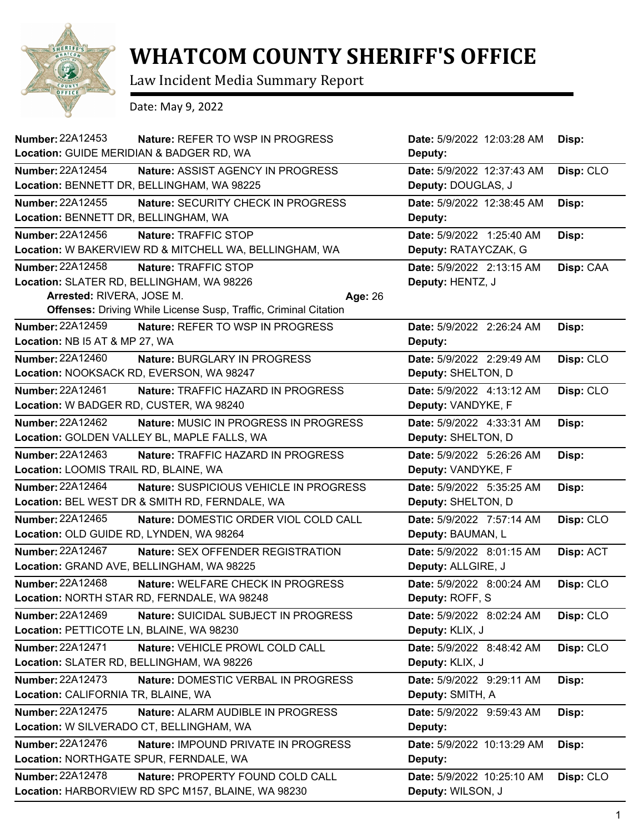

## **WHATCOM COUNTY SHERIFF'S OFFICE**

Law Incident Media Summary Report

Date: May 9, 2022

| <b>Number: 22A12453</b><br>Location: GUIDE MERIDIAN & BADGER RD, WA | Nature: REFER TO WSP IN PROGRESS                                        | Date: 5/9/2022 12:03:28 AM<br>Deputy: | Disp:     |
|---------------------------------------------------------------------|-------------------------------------------------------------------------|---------------------------------------|-----------|
| <b>Number: 22A12454</b>                                             | Nature: ASSIST AGENCY IN PROGRESS                                       | Date: 5/9/2022 12:37:43 AM            | Disp: CLO |
|                                                                     | Location: BENNETT DR, BELLINGHAM, WA 98225                              | Deputy: DOUGLAS, J                    |           |
| Number: 22A12455                                                    | Nature: SECURITY CHECK IN PROGRESS                                      | Date: 5/9/2022 12:38:45 AM            | Disp:     |
| Location: BENNETT DR, BELLINGHAM, WA                                |                                                                         | Deputy:                               |           |
| Number: 22A12456                                                    | Nature: TRAFFIC STOP                                                    | Date: 5/9/2022 1:25:40 AM             | Disp:     |
|                                                                     | Location: W BAKERVIEW RD & MITCHELL WA, BELLINGHAM, WA                  | Deputy: RATAYCZAK, G                  |           |
| Number: 22A12458                                                    | Nature: TRAFFIC STOP                                                    | Date: 5/9/2022 2:13:15 AM             | Disp: CAA |
|                                                                     | Location: SLATER RD, BELLINGHAM, WA 98226                               | Deputy: HENTZ, J                      |           |
| Arrested: RIVERA, JOSE M.                                           | Age: 26                                                                 |                                       |           |
|                                                                     | <b>Offenses: Driving While License Susp, Traffic, Criminal Citation</b> |                                       |           |
| Number: 22A12459                                                    | Nature: REFER TO WSP IN PROGRESS                                        | Date: 5/9/2022 2:26:24 AM             | Disp:     |
| Location: NB I5 AT & MP 27, WA                                      |                                                                         | Deputy:                               |           |
| <b>Number: 22A12460</b>                                             | Nature: BURGLARY IN PROGRESS                                            | Date: 5/9/2022 2:29:49 AM             | Disp: CLO |
|                                                                     | Location: NOOKSACK RD, EVERSON, WA 98247                                | Deputy: SHELTON, D                    |           |
| Number: 22A12461                                                    | Nature: TRAFFIC HAZARD IN PROGRESS                                      | Date: 5/9/2022 4:13:12 AM             | Disp: CLO |
| Location: W BADGER RD, CUSTER, WA 98240                             |                                                                         | Deputy: VANDYKE, F                    |           |
| <b>Number: 22A12462</b>                                             | Nature: MUSIC IN PROGRESS IN PROGRESS                                   | Date: 5/9/2022 4:33:31 AM             | Disp:     |
|                                                                     | Location: GOLDEN VALLEY BL, MAPLE FALLS, WA                             | Deputy: SHELTON, D                    |           |
| Number: 22A12463                                                    | Nature: TRAFFIC HAZARD IN PROGRESS                                      | Date: 5/9/2022 5:26:26 AM             | Disp:     |
| Location: LOOMIS TRAIL RD, BLAINE, WA                               |                                                                         | Deputy: VANDYKE, F                    |           |
| <b>Number: 22A12464</b>                                             | Nature: SUSPICIOUS VEHICLE IN PROGRESS                                  | Date: 5/9/2022 5:35:25 AM             | Disp:     |
|                                                                     | Location: BEL WEST DR & SMITH RD, FERNDALE, WA                          | Deputy: SHELTON, D                    |           |
| <b>Number: 22A12465</b>                                             | Nature: DOMESTIC ORDER VIOL COLD CALL                                   | Date: 5/9/2022 7:57:14 AM             | Disp: CLO |
| Location: OLD GUIDE RD, LYNDEN, WA 98264                            |                                                                         | Deputy: BAUMAN, L                     |           |
| <b>Number: 22A12467</b>                                             | Nature: SEX OFFENDER REGISTRATION                                       | Date: 5/9/2022 8:01:15 AM             | Disp: ACT |
|                                                                     | Location: GRAND AVE, BELLINGHAM, WA 98225                               | Deputy: ALLGIRE, J                    |           |
| <b>Number: 22A12468</b>                                             | Nature: WELFARE CHECK IN PROGRESS                                       | Date: 5/9/2022 8:00:24 AM             | Disp: CLO |
|                                                                     | Location: NORTH STAR RD, FERNDALE, WA 98248                             | Deputy: ROFF, S                       |           |
| Number: 22A12469                                                    | Nature: SUICIDAL SUBJECT IN PROGRESS                                    | Date: 5/9/2022 8:02:24 AM             | Disp: CLO |
| Location: PETTICOTE LN, BLAINE, WA 98230                            |                                                                         | Deputy: KLIX, J                       |           |
| Number: 22A12471                                                    | Nature: VEHICLE PROWL COLD CALL                                         | Date: 5/9/2022 8:48:42 AM             | Disp: CLO |
|                                                                     | Location: SLATER RD, BELLINGHAM, WA 98226                               | Deputy: KLIX, J                       |           |
| <b>Number: 22A12473</b>                                             | Nature: DOMESTIC VERBAL IN PROGRESS                                     | Date: 5/9/2022 9:29:11 AM             | Disp:     |
| Location: CALIFORNIA TR, BLAINE, WA                                 |                                                                         | Deputy: SMITH, A                      |           |
| Number: 22A12475                                                    | Nature: ALARM AUDIBLE IN PROGRESS                                       | Date: 5/9/2022 9:59:43 AM             | Disp:     |
|                                                                     | Location: W SILVERADO CT, BELLINGHAM, WA                                | Deputy:                               |           |
| Number: 22A12476                                                    | <b>Nature: IMPOUND PRIVATE IN PROGRESS</b>                              | Date: 5/9/2022 10:13:29 AM            | Disp:     |
| Location: NORTHGATE SPUR, FERNDALE, WA                              |                                                                         | Deputy:                               |           |
| Number: 22A12478                                                    | Nature: PROPERTY FOUND COLD CALL                                        | Date: 5/9/2022 10:25:10 AM            | Disp: CLO |
|                                                                     | Location: HARBORVIEW RD SPC M157, BLAINE, WA 98230                      | Deputy: WILSON, J                     |           |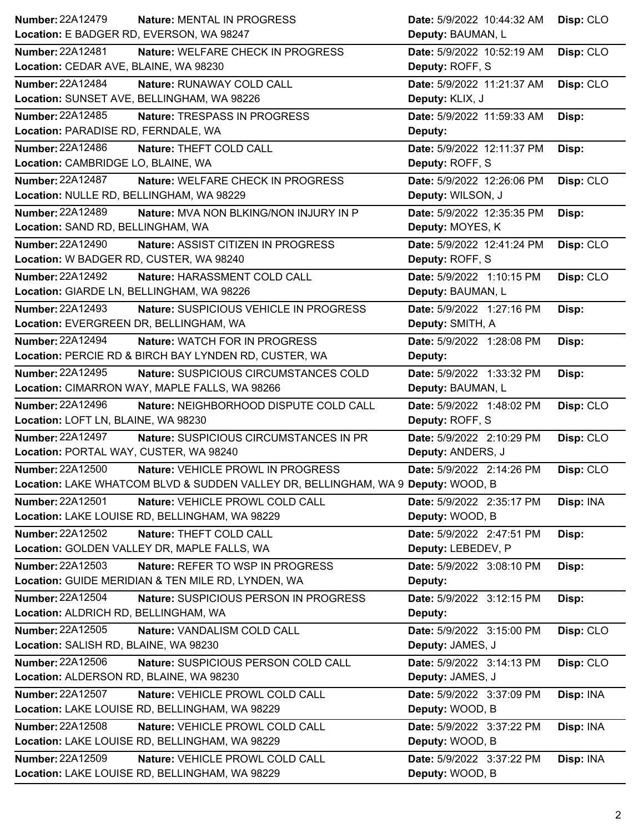| <b>Number: 22A12479</b><br>Nature: MENTAL IN PROGRESS                            | Date: 5/9/2022 10:44:32 AM          | Disp: CLO |
|----------------------------------------------------------------------------------|-------------------------------------|-----------|
| Location: E BADGER RD, EVERSON, WA 98247                                         | Deputy: BAUMAN, L                   |           |
| <b>Number: 22A12481</b><br>Nature: WELFARE CHECK IN PROGRESS                     | Date: 5/9/2022 10:52:19 AM          | Disp: CLO |
| Location: CEDAR AVE, BLAINE, WA 98230                                            | Deputy: ROFF, S                     |           |
| <b>Number: 22A12484</b><br>Nature: RUNAWAY COLD CALL                             | Date: 5/9/2022 11:21:37 AM          | Disp: CLO |
| Location: SUNSET AVE, BELLINGHAM, WA 98226                                       | Deputy: KLIX, J                     |           |
| Number: 22A12485<br>Nature: TRESPASS IN PROGRESS                                 | Date: 5/9/2022 11:59:33 AM<br>Disp: |           |
| Location: PARADISE RD, FERNDALE, WA                                              | Deputy:                             |           |
| <b>Number: 22A12486</b><br>Nature: THEFT COLD CALL                               | Date: 5/9/2022 12:11:37 PM<br>Disp: |           |
| Location: CAMBRIDGE LO, BLAINE, WA                                               | Deputy: ROFF, S                     |           |
| <b>Number: 22A12487</b><br>Nature: WELFARE CHECK IN PROGRESS                     | Date: 5/9/2022 12:26:06 PM          | Disp: CLO |
| Location: NULLE RD, BELLINGHAM, WA 98229                                         | Deputy: WILSON, J                   |           |
| Number: 22A12489<br>Nature: MVA NON BLKING/NON INJURY IN P                       | Date: 5/9/2022 12:35:35 PM<br>Disp: |           |
| Location: SAND RD, BELLINGHAM, WA                                                | Deputy: MOYES, K                    |           |
| <b>Number: 22A12490</b><br>Nature: ASSIST CITIZEN IN PROGRESS                    | Date: 5/9/2022 12:41:24 PM          | Disp: CLO |
| Location: W BADGER RD, CUSTER, WA 98240                                          | Deputy: ROFF, S                     |           |
| <b>Number: 22A12492</b><br>Nature: HARASSMENT COLD CALL                          | Date: 5/9/2022 1:10:15 PM           | Disp: CLO |
| Location: GIARDE LN, BELLINGHAM, WA 98226                                        | Deputy: BAUMAN, L                   |           |
| Number: 22A12493<br>Nature: SUSPICIOUS VEHICLE IN PROGRESS                       | Date: 5/9/2022 1:27:16 PM<br>Disp:  |           |
| Location: EVERGREEN DR, BELLINGHAM, WA                                           | Deputy: SMITH, A                    |           |
| <b>Number: 22A12494</b><br><b>Nature: WATCH FOR IN PROGRESS</b>                  | Date: 5/9/2022 1:28:08 PM<br>Disp:  |           |
| Location: PERCIE RD & BIRCH BAY LYNDEN RD, CUSTER, WA                            | Deputy:                             |           |
| Number: 22A12495<br>Nature: SUSPICIOUS CIRCUMSTANCES COLD                        | Date: 5/9/2022 1:33:32 PM<br>Disp:  |           |
| Location: CIMARRON WAY, MAPLE FALLS, WA 98266                                    | Deputy: BAUMAN, L                   |           |
|                                                                                  |                                     |           |
| <b>Number: 22A12496</b><br>Nature: NEIGHBORHOOD DISPUTE COLD CALL                | Date: 5/9/2022 1:48:02 PM           | Disp: CLO |
| Location: LOFT LN, BLAINE, WA 98230                                              | Deputy: ROFF, S                     |           |
| <b>Number: 22A12497</b><br>Nature: SUSPICIOUS CIRCUMSTANCES IN PR                | Date: 5/9/2022 2:10:29 PM           | Disp: CLO |
| Location: PORTAL WAY, CUSTER, WA 98240                                           | Deputy: ANDERS, J                   |           |
| <b>Number: 22A12500</b><br>Nature: VEHICLE PROWL IN PROGRESS                     | Date: 5/9/2022 2:14:26 PM           | Disp: CLO |
| Location: LAKE WHATCOM BLVD & SUDDEN VALLEY DR, BELLINGHAM, WA 9 Deputy: WOOD, B |                                     |           |
| <b>Number: 22A12501</b><br>Nature: VEHICLE PROWL COLD CALL                       | Date: 5/9/2022 2:35:17 PM           | Disp: INA |
| Location: LAKE LOUISE RD, BELLINGHAM, WA 98229                                   | Deputy: WOOD, B                     |           |
| Number: 22A12502<br>Nature: THEFT COLD CALL                                      | Date: 5/9/2022 2:47:51 PM<br>Disp:  |           |
| Location: GOLDEN VALLEY DR, MAPLE FALLS, WA                                      | Deputy: LEBEDEV, P                  |           |
| <b>Number: 22A12503</b><br>Nature: REFER TO WSP IN PROGRESS                      | Date: 5/9/2022 3:08:10 PM<br>Disp:  |           |
| Location: GUIDE MERIDIAN & TEN MILE RD, LYNDEN, WA                               | Deputy:                             |           |
| <b>Number: 22A12504</b><br>Nature: SUSPICIOUS PERSON IN PROGRESS                 | Date: 5/9/2022 3:12:15 PM<br>Disp:  |           |
| Location: ALDRICH RD, BELLINGHAM, WA                                             | Deputy:                             |           |
| Number: 22A12505<br>Nature: VANDALISM COLD CALL                                  | Date: 5/9/2022 3:15:00 PM           | Disp: CLO |
| Location: SALISH RD, BLAINE, WA 98230                                            | Deputy: JAMES, J                    |           |
| Number: 22A12506<br>Nature: SUSPICIOUS PERSON COLD CALL                          | Date: 5/9/2022 3:14:13 PM           | Disp: CLO |
| Location: ALDERSON RD, BLAINE, WA 98230                                          | Deputy: JAMES, J                    |           |
| Number: 22A12507<br>Nature: VEHICLE PROWL COLD CALL                              | Date: 5/9/2022 3:37:09 PM           | Disp: INA |
| Location: LAKE LOUISE RD, BELLINGHAM, WA 98229                                   | Deputy: WOOD, B                     |           |
| <b>Number: 22A12508</b><br>Nature: VEHICLE PROWL COLD CALL                       | Date: 5/9/2022 3:37:22 PM           | Disp: INA |
| Location: LAKE LOUISE RD, BELLINGHAM, WA 98229                                   | Deputy: WOOD, B                     |           |
| Number: 22A12509<br>Nature: VEHICLE PROWL COLD CALL                              | Date: 5/9/2022 3:37:22 PM           | Disp: INA |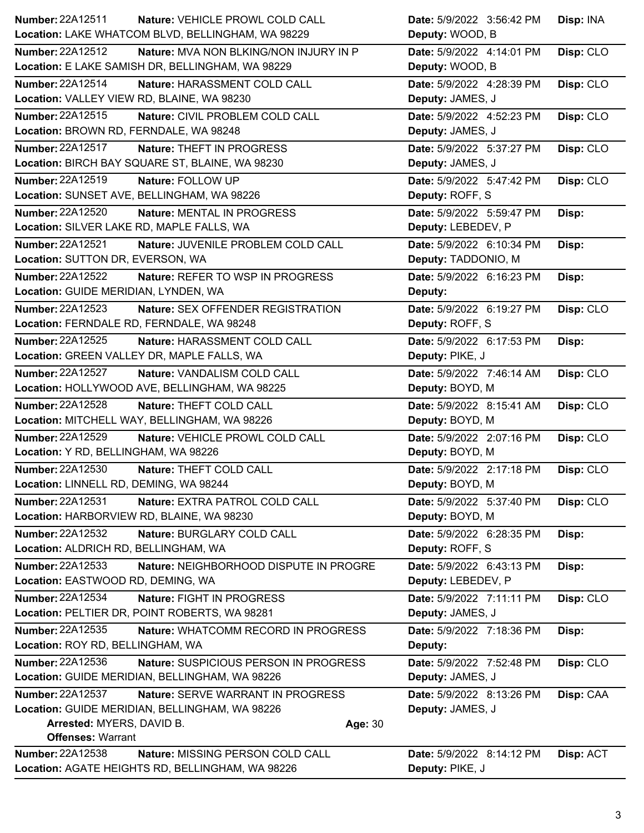| <b>Number: 22A12511</b><br>Nature: VEHICLE PROWL COLD CALL         | Date: 5/9/2022 3:56:42 PM | Disp: INA |
|--------------------------------------------------------------------|---------------------------|-----------|
| Location: LAKE WHATCOM BLVD, BELLINGHAM, WA 98229                  | Deputy: WOOD, B           |           |
| Number: 22A12512<br>Nature: MVA NON BLKING/NON INJURY IN P         | Date: 5/9/2022 4:14:01 PM | Disp: CLO |
| Location: E LAKE SAMISH DR, BELLINGHAM, WA 98229                   | Deputy: WOOD, B           |           |
| Number: 22A12514<br>Nature: HARASSMENT COLD CALL                   | Date: 5/9/2022 4:28:39 PM | Disp: CLO |
| Location: VALLEY VIEW RD, BLAINE, WA 98230                         | Deputy: JAMES, J          |           |
| <b>Number: 22A12515</b><br>Nature: CIVIL PROBLEM COLD CALL         | Date: 5/9/2022 4:52:23 PM | Disp: CLO |
| Location: BROWN RD, FERNDALE, WA 98248                             | Deputy: JAMES, J          |           |
| Number: 22A12517<br>Nature: THEFT IN PROGRESS                      | Date: 5/9/2022 5:37:27 PM | Disp: CLO |
| Location: BIRCH BAY SQUARE ST, BLAINE, WA 98230                    | Deputy: JAMES, J          |           |
| Number: 22A12519<br>Nature: FOLLOW UP                              | Date: 5/9/2022 5:47:42 PM | Disp: CLO |
| Location: SUNSET AVE, BELLINGHAM, WA 98226                         | Deputy: ROFF, S           |           |
| Number: 22A12520<br>Nature: MENTAL IN PROGRESS                     | Date: 5/9/2022 5:59:47 PM | Disp:     |
| Location: SILVER LAKE RD, MAPLE FALLS, WA                          | Deputy: LEBEDEV, P        |           |
| <b>Number: 22A12521</b><br>Nature: JUVENILE PROBLEM COLD CALL      | Date: 5/9/2022 6:10:34 PM | Disp:     |
| Location: SUTTON DR, EVERSON, WA                                   | Deputy: TADDONIO, M       |           |
| <b>Number: 22A12522</b><br><b>Nature: REFER TO WSP IN PROGRESS</b> | Date: 5/9/2022 6:16:23 PM | Disp:     |
| Location: GUIDE MERIDIAN, LYNDEN, WA                               | Deputy:                   |           |
| Number: 22A12523<br>Nature: SEX OFFENDER REGISTRATION              | Date: 5/9/2022 6:19:27 PM | Disp: CLO |
| Location: FERNDALE RD, FERNDALE, WA 98248                          | Deputy: ROFF, S           |           |
| <b>Number: 22A12525</b><br>Nature: HARASSMENT COLD CALL            | Date: 5/9/2022 6:17:53 PM | Disp:     |
| Location: GREEN VALLEY DR, MAPLE FALLS, WA                         | Deputy: PIKE, J           |           |
| <b>Number: 22A12527</b><br>Nature: VANDALISM COLD CALL             | Date: 5/9/2022 7:46:14 AM | Disp: CLO |
| Location: HOLLYWOOD AVE, BELLINGHAM, WA 98225                      | Deputy: BOYD, M           |           |
| Number: 22A12528<br>Nature: THEFT COLD CALL                        | Date: 5/9/2022 8:15:41 AM | Disp: CLO |
| Location: MITCHELL WAY, BELLINGHAM, WA 98226                       | Deputy: BOYD, M           |           |
| Number: 22A12529<br>Nature: VEHICLE PROWL COLD CALL                | Date: 5/9/2022 2:07:16 PM | Disp: CLO |
| Location: Y RD, BELLINGHAM, WA 98226                               | Deputy: BOYD, M           |           |
| <b>Number: 22A12530</b><br>Nature: THEFT COLD CALL                 | Date: 5/9/2022 2:17:18 PM | Disp: CLO |
| Location: LINNELL RD, DEMING, WA 98244                             | Deputy: BOYD, M           |           |
| Number: 22A12531<br>Nature: EXTRA PATROL COLD CALL                 | Date: 5/9/2022 5:37:40 PM | Disp: CLO |
| Location: HARBORVIEW RD, BLAINE, WA 98230                          | Deputy: BOYD, M           |           |
| Number: 22A12532<br>Nature: BURGLARY COLD CALL                     | Date: 5/9/2022 6:28:35 PM | Disp:     |
| Location: ALDRICH RD, BELLINGHAM, WA                               | Deputy: ROFF, S           |           |
| Number: 22A12533<br>Nature: NEIGHBORHOOD DISPUTE IN PROGRE         | Date: 5/9/2022 6:43:13 PM | Disp:     |
| Location: EASTWOOD RD, DEMING, WA                                  | Deputy: LEBEDEV, P        |           |
| Number: 22A12534<br>Nature: FIGHT IN PROGRESS                      | Date: 5/9/2022 7:11:11 PM | Disp: CLO |
| Location: PELTIER DR, POINT ROBERTS, WA 98281                      | Deputy: JAMES, J          |           |
| Number: 22A12535<br>Nature: WHATCOMM RECORD IN PROGRESS            | Date: 5/9/2022 7:18:36 PM | Disp:     |
| Location: ROY RD, BELLINGHAM, WA                                   | Deputy:                   |           |
| <b>Number: 22A12536</b><br>Nature: SUSPICIOUS PERSON IN PROGRESS   | Date: 5/9/2022 7:52:48 PM | Disp: CLO |
| Location: GUIDE MERIDIAN, BELLINGHAM, WA 98226                     | Deputy: JAMES, J          |           |
| Number: 22A12537<br>Nature: SERVE WARRANT IN PROGRESS              | Date: 5/9/2022 8:13:26 PM | Disp: CAA |
| Location: GUIDE MERIDIAN, BELLINGHAM, WA 98226                     | Deputy: JAMES, J          |           |
| Arrested: MYERS, DAVID B.<br>Age: 30                               |                           |           |
| <b>Offenses: Warrant</b>                                           |                           |           |
| Number: 22A12538<br>Nature: MISSING PERSON COLD CALL               | Date: 5/9/2022 8:14:12 PM | Disp: ACT |
| Location: AGATE HEIGHTS RD, BELLINGHAM, WA 98226                   | Deputy: PIKE, J           |           |